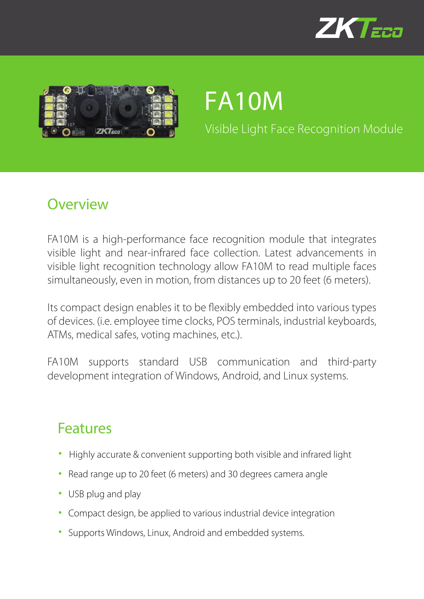



# FA10M

Visible Light Face Recognition Module

#### **Overview**

FA10M is a high-performance face recognition module that integrates visible light and near-infrared face collection. Latest advancements in visible light recognition technology allow FA10M to read multiple faces simultaneously, even in motion, from distances up to 20 feet (6 meters).

Its compact design enables it to be flexibly embedded into various types of devices. (i.e. employee time clocks, POS terminals, industrial keyboards, ATMs, medical safes, voting machines, etc.).

FA10M supports standard USB communication and third-party development integration of Windows, Android, and Linux systems.

#### Features

- Highly accurate & convenient supporting both visible and infrared light
- Read range up to 20 feet (6 meters) and 30 degrees camera angle
- USB plug and play
- Compact design, be applied to various industrial device integration
- Supports Windows, Linux, Android and embedded systems.